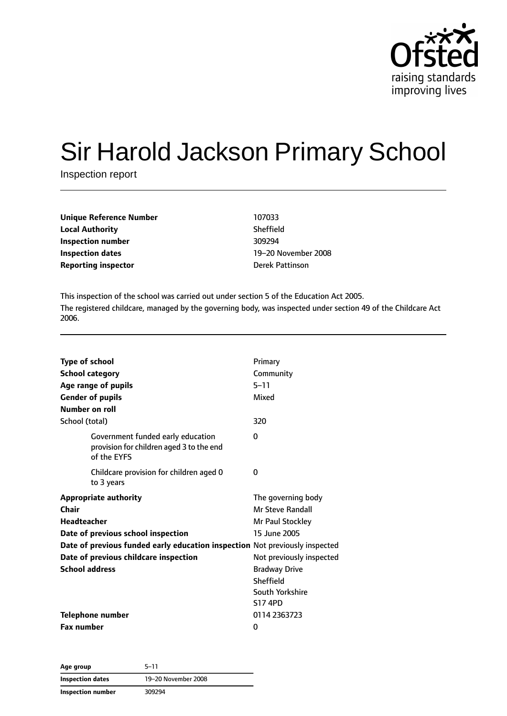

# Sir Harold Jackson Primary School

Inspection report

| Unique Reference Number    | 107033                 |
|----------------------------|------------------------|
| <b>Local Authority</b>     | <b>Sheffield</b>       |
| Inspection number          | 309294                 |
| <b>Inspection dates</b>    | 19-20 November         |
| <b>Reporting inspector</b> | <b>Derek Pattinson</b> |

**Sheffield Inspection dates** 19–20 November 2008

This inspection of the school was carried out under section 5 of the Education Act 2005. The registered childcare, managed by the governing body, was inspected under section 49 of the Childcare Act 2006.

| <b>Type of school</b>                                                                        | Primary                  |
|----------------------------------------------------------------------------------------------|--------------------------|
| <b>School category</b>                                                                       | Community                |
| Age range of pupils                                                                          | $5 - 11$                 |
| <b>Gender of pupils</b>                                                                      | Mixed                    |
| Number on roll                                                                               |                          |
| School (total)                                                                               | 320                      |
| Government funded early education<br>provision for children aged 3 to the end<br>of the EYFS | 0                        |
| Childcare provision for children aged 0<br>to 3 years                                        | 0                        |
| <b>Appropriate authority</b>                                                                 | The governing body       |
| Chair                                                                                        | <b>Mr Steve Randall</b>  |
| Headteacher                                                                                  | Mr Paul Stockley         |
| Date of previous school inspection                                                           | 15 June 2005             |
| Date of previous funded early education inspection Not previously inspected                  |                          |
| Date of previous childcare inspection                                                        | Not previously inspected |
| <b>School address</b>                                                                        | <b>Bradway Drive</b>     |
|                                                                                              | Sheffield                |
|                                                                                              | South Yorkshire          |
|                                                                                              | <b>S17 4PD</b>           |
| Telephone number                                                                             | 0114 2363723             |
| <b>Fax number</b>                                                                            | 0                        |

**Age group** 5–11 **Inspection dates** 19–20 November 2008 **Inspection number** 309294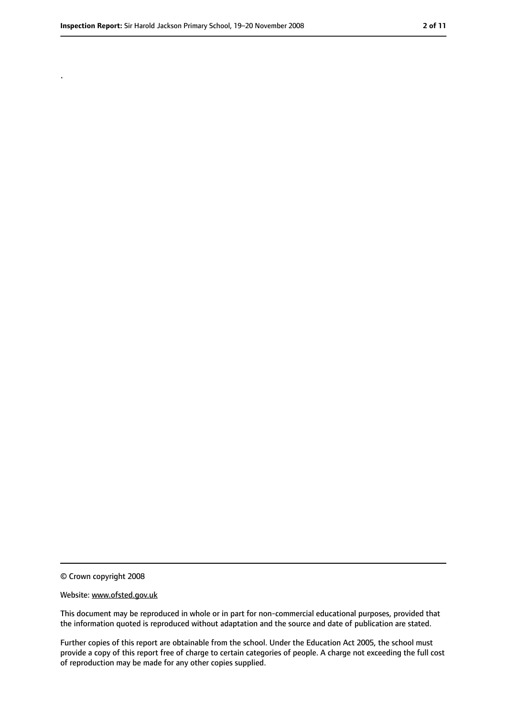.

<sup>©</sup> Crown copyright 2008

Website: www.ofsted.gov.uk

This document may be reproduced in whole or in part for non-commercial educational purposes, provided that the information quoted is reproduced without adaptation and the source and date of publication are stated.

Further copies of this report are obtainable from the school. Under the Education Act 2005, the school must provide a copy of this report free of charge to certain categories of people. A charge not exceeding the full cost of reproduction may be made for any other copies supplied.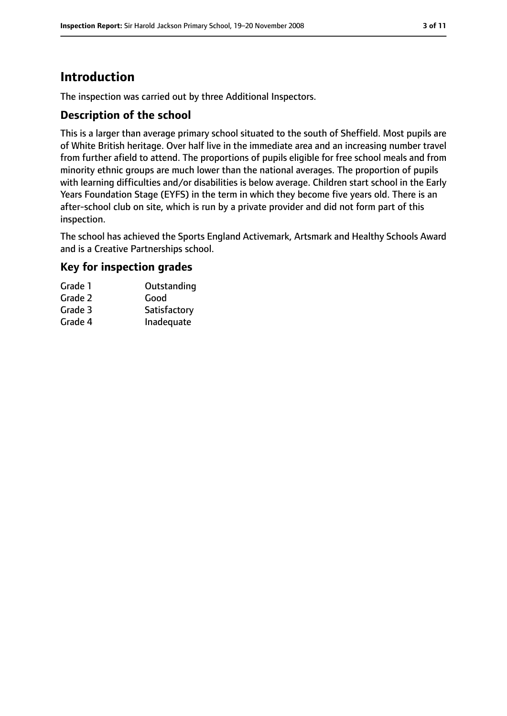# **Introduction**

The inspection was carried out by three Additional Inspectors.

#### **Description of the school**

This is a larger than average primary school situated to the south of Sheffield. Most pupils are of White British heritage. Over half live in the immediate area and an increasing number travel from further afield to attend. The proportions of pupils eligible for free school meals and from minority ethnic groups are much lower than the national averages. The proportion of pupils with learning difficulties and/or disabilities is below average. Children start school in the Early Years Foundation Stage (EYFS) in the term in which they become five years old. There is an after-school club on site, which is run by a private provider and did not form part of this inspection.

The school has achieved the Sports England Activemark, Artsmark and Healthy Schools Award and is a Creative Partnerships school.

#### **Key for inspection grades**

| Grade 1 | Outstanding  |
|---------|--------------|
| Grade 2 | Good         |
| Grade 3 | Satisfactory |
| Grade 4 | Inadequate   |
|         |              |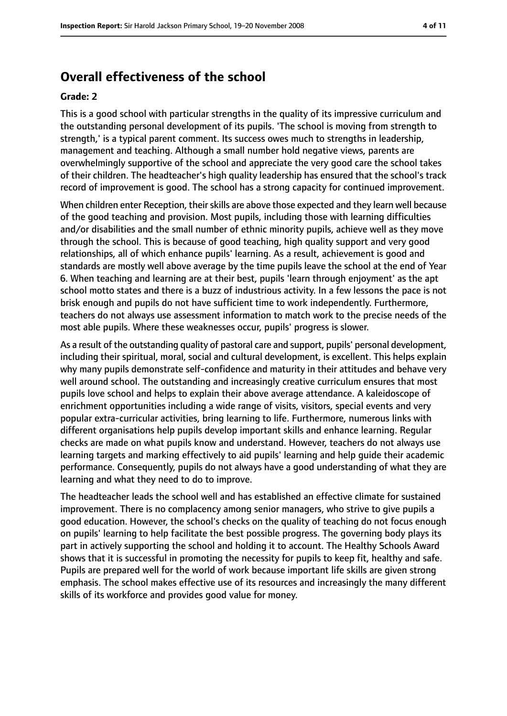# **Overall effectiveness of the school**

#### **Grade: 2**

This is a good school with particular strengths in the quality of its impressive curriculum and the outstanding personal development of its pupils. 'The school is moving from strength to strength,' is a typical parent comment. Its success owes much to strengths in leadership, management and teaching. Although a small number hold negative views, parents are overwhelmingly supportive of the school and appreciate the very good care the school takes of their children. The headteacher's high quality leadership has ensured that the school's track record of improvement is good. The school has a strong capacity for continued improvement.

When children enter Reception, their skills are above those expected and they learn well because of the good teaching and provision. Most pupils, including those with learning difficulties and/or disabilities and the small number of ethnic minority pupils, achieve well as they move through the school. This is because of good teaching, high quality support and very good relationships, all of which enhance pupils' learning. As a result, achievement is good and standards are mostly well above average by the time pupils leave the school at the end of Year 6. When teaching and learning are at their best, pupils 'learn through enjoyment' as the apt school motto states and there is a buzz of industrious activity. In a few lessons the pace is not brisk enough and pupils do not have sufficient time to work independently. Furthermore, teachers do not always use assessment information to match work to the precise needs of the most able pupils. Where these weaknesses occur, pupils' progress is slower.

As a result of the outstanding quality of pastoral care and support, pupils' personal development, including their spiritual, moral, social and cultural development, is excellent. This helps explain why many pupils demonstrate self-confidence and maturity in their attitudes and behave very well around school. The outstanding and increasingly creative curriculum ensures that most pupils love school and helps to explain their above average attendance. A kaleidoscope of enrichment opportunities including a wide range of visits, visitors, special events and very popular extra-curricular activities, bring learning to life. Furthermore, numerous links with different organisations help pupils develop important skills and enhance learning. Regular checks are made on what pupils know and understand. However, teachers do not always use learning targets and marking effectively to aid pupils' learning and help guide their academic performance. Consequently, pupils do not always have a good understanding of what they are learning and what they need to do to improve.

The headteacher leads the school well and has established an effective climate for sustained improvement. There is no complacency among senior managers, who strive to give pupils a good education. However, the school's checks on the quality of teaching do not focus enough on pupils' learning to help facilitate the best possible progress. The governing body plays its part in actively supporting the school and holding it to account. The Healthy Schools Award shows that it is successful in promoting the necessity for pupils to keep fit, healthy and safe. Pupils are prepared well for the world of work because important life skills are given strong emphasis. The school makes effective use of its resources and increasingly the many different skills of its workforce and provides good value for money.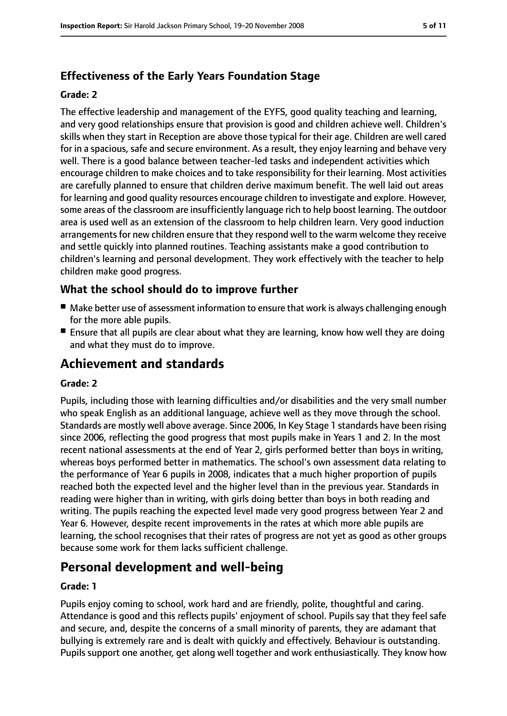# **Effectiveness of the Early Years Foundation Stage**

#### **Grade: 2**

The effective leadership and management of the EYFS, good quality teaching and learning, and very good relationships ensure that provision is good and children achieve well. Children's skills when they start in Reception are above those typical for their age. Children are well cared for in a spacious, safe and secure environment. As a result, they enjoy learning and behave very well. There is a good balance between teacher-led tasks and independent activities which encourage children to make choices and to take responsibility for their learning. Most activities are carefully planned to ensure that children derive maximum benefit. The well laid out areas for learning and good quality resources encourage children to investigate and explore. However, some areas of the classroom are insufficiently language rich to help boost learning. The outdoor area is used well as an extension of the classroom to help children learn. Very good induction arrangements for new children ensure that they respond well to the warm welcome they receive and settle quickly into planned routines. Teaching assistants make a good contribution to children's learning and personal development. They work effectively with the teacher to help children make good progress.

## **What the school should do to improve further**

- Make better use of assessment information to ensure that work is always challenging enough for the more able pupils.
- Ensure that all pupils are clear about what they are learning, know how well they are doing and what they must do to improve.

# **Achievement and standards**

#### **Grade: 2**

Pupils, including those with learning difficulties and/or disabilities and the very small number who speak English as an additional language, achieve well as they move through the school. Standards are mostly well above average. Since 2006, In Key Stage 1 standards have been rising since 2006, reflecting the good progress that most pupils make in Years 1 and 2. In the most recent national assessments at the end of Year 2, girls performed better than boys in writing, whereas boys performed better in mathematics. The school's own assessment data relating to the performance of Year 6 pupils in 2008, indicates that a much higher proportion of pupils reached both the expected level and the higher level than in the previous year. Standards in reading were higher than in writing, with girls doing better than boys in both reading and writing. The pupils reaching the expected level made very good progress between Year 2 and Year 6. However, despite recent improvements in the rates at which more able pupils are learning, the school recognises that their rates of progress are not yet as good as other groups because some work for them lacks sufficient challenge.

# **Personal development and well-being**

#### **Grade: 1**

Pupils enjoy coming to school, work hard and are friendly, polite, thoughtful and caring. Attendance is good and this reflects pupils' enjoyment of school. Pupils say that they feel safe and secure, and, despite the concerns of a small minority of parents, they are adamant that bullying is extremely rare and is dealt with quickly and effectively. Behaviour is outstanding. Pupils support one another, get along well together and work enthusiastically. They know how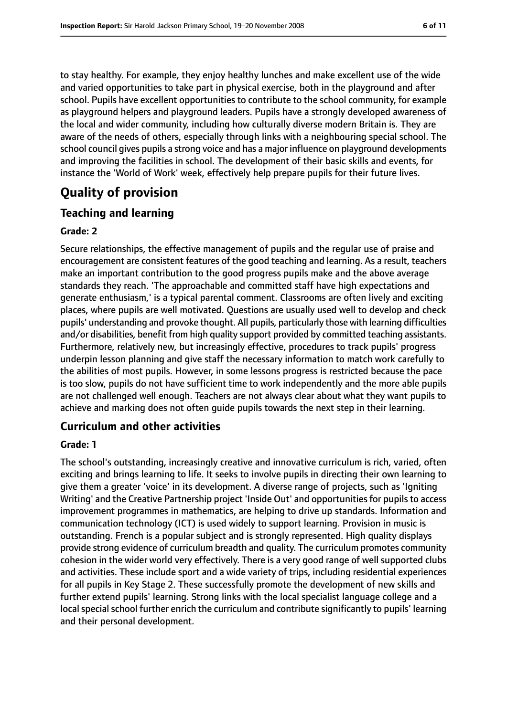to stay healthy. For example, they enjoy healthy lunches and make excellent use of the wide and varied opportunities to take part in physical exercise, both in the playground and after school. Pupils have excellent opportunities to contribute to the school community, for example as playground helpers and playground leaders. Pupils have a strongly developed awareness of the local and wider community, including how culturally diverse modern Britain is. They are aware of the needs of others, especially through links with a neighbouring special school. The school council gives pupils a strong voice and has a major influence on playground developments and improving the facilities in school. The development of their basic skills and events, for instance the 'World of Work' week, effectively help prepare pupils for their future lives.

# **Quality of provision**

# **Teaching and learning**

#### **Grade: 2**

Secure relationships, the effective management of pupils and the regular use of praise and encouragement are consistent features of the good teaching and learning. As a result, teachers make an important contribution to the good progress pupils make and the above average standards they reach. 'The approachable and committed staff have high expectations and generate enthusiasm,' is a typical parental comment. Classrooms are often lively and exciting places, where pupils are well motivated. Questions are usually used well to develop and check pupils' understanding and provoke thought. All pupils, particularly those with learning difficulties and/or disabilities, benefit from high quality support provided by committed teaching assistants. Furthermore, relatively new, but increasingly effective, procedures to track pupils' progress underpin lesson planning and give staff the necessary information to match work carefully to the abilities of most pupils. However, in some lessons progress is restricted because the pace is too slow, pupils do not have sufficient time to work independently and the more able pupils are not challenged well enough. Teachers are not always clear about what they want pupils to achieve and marking does not often guide pupils towards the next step in their learning.

## **Curriculum and other activities**

#### **Grade: 1**

The school's outstanding, increasingly creative and innovative curriculum is rich, varied, often exciting and brings learning to life. It seeks to involve pupils in directing their own learning to give them a greater 'voice' in its development. A diverse range of projects, such as 'Igniting Writing' and the Creative Partnership project 'Inside Out' and opportunities for pupils to access improvement programmes in mathematics, are helping to drive up standards. Information and communication technology (ICT) is used widely to support learning. Provision in music is outstanding. French is a popular subject and is strongly represented. High quality displays provide strong evidence of curriculum breadth and quality. The curriculum promotes community cohesion in the wider world very effectively. There is a very good range of well supported clubs and activities. These include sport and a wide variety of trips, including residential experiences for all pupils in Key Stage 2. These successfully promote the development of new skills and further extend pupils' learning. Strong links with the local specialist language college and a local special school further enrich the curriculum and contribute significantly to pupils' learning and their personal development.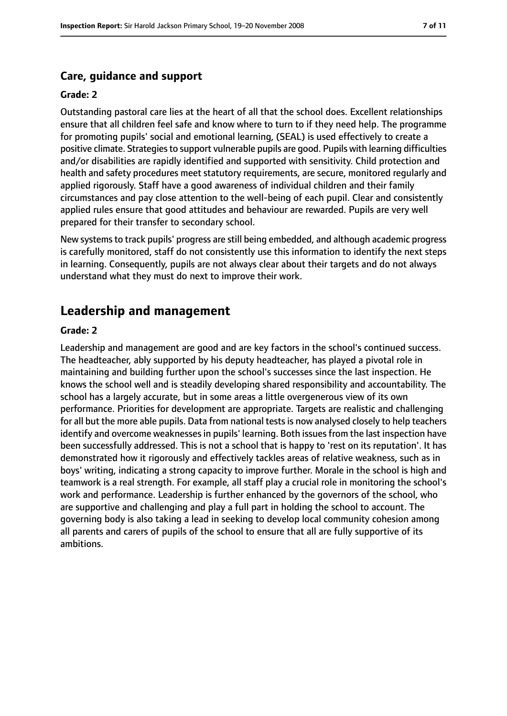#### **Care, guidance and support**

#### **Grade: 2**

Outstanding pastoral care lies at the heart of all that the school does. Excellent relationships ensure that all children feel safe and know where to turn to if they need help. The programme for promoting pupils' social and emotional learning, (SEAL) is used effectively to create a positive climate. Strategies to support vulnerable pupils are good. Pupils with learning difficulties and/or disabilities are rapidly identified and supported with sensitivity. Child protection and health and safety procedures meet statutory requirements, are secure, monitored regularly and applied rigorously. Staff have a good awareness of individual children and their family circumstances and pay close attention to the well-being of each pupil. Clear and consistently applied rules ensure that good attitudes and behaviour are rewarded. Pupils are very well prepared for their transfer to secondary school.

New systems to track pupils' progress are still being embedded, and although academic progress is carefully monitored, staff do not consistently use this information to identify the next steps in learning. Consequently, pupils are not always clear about their targets and do not always understand what they must do next to improve their work.

# **Leadership and management**

#### **Grade: 2**

Leadership and management are good and are key factors in the school's continued success. The headteacher, ably supported by his deputy headteacher, has played a pivotal role in maintaining and building further upon the school's successes since the last inspection. He knows the school well and is steadily developing shared responsibility and accountability. The school has a largely accurate, but in some areas a little overgenerous view of its own performance. Priorities for development are appropriate. Targets are realistic and challenging for all but the more able pupils. Data from national testsis now analysed closely to help teachers identify and overcome weaknesses in pupils' learning. Both issues from the last inspection have been successfully addressed. This is not a school that is happy to 'rest on its reputation'. It has demonstrated how it rigorously and effectively tackles areas of relative weakness, such as in boys' writing, indicating a strong capacity to improve further. Morale in the school is high and teamwork is a real strength. For example, all staff play a crucial role in monitoring the school's work and performance. Leadership is further enhanced by the governors of the school, who are supportive and challenging and play a full part in holding the school to account. The governing body is also taking a lead in seeking to develop local community cohesion among all parents and carers of pupils of the school to ensure that all are fully supportive of its ambitions.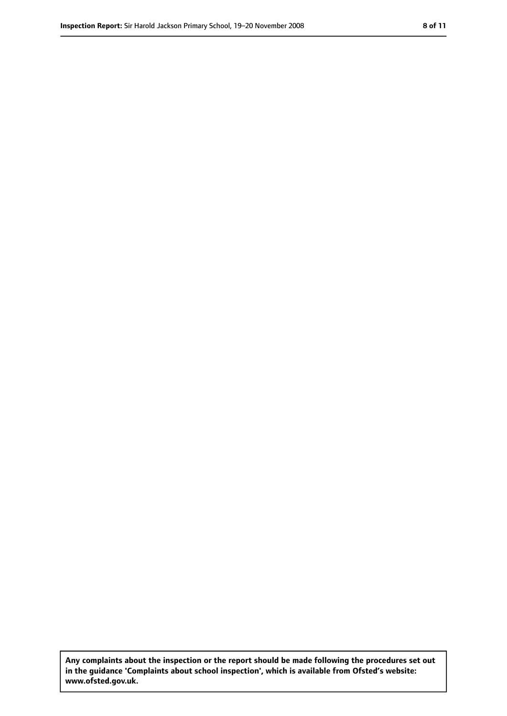**Any complaints about the inspection or the report should be made following the procedures set out in the guidance 'Complaints about school inspection', which is available from Ofsted's website: www.ofsted.gov.uk.**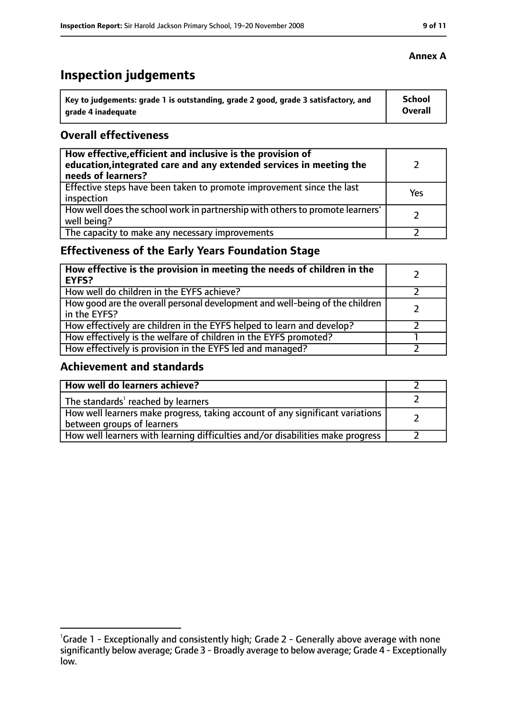# **Inspection judgements**

| Key to judgements: grade 1 is outstanding, grade 2 good, grade 3 satisfactory, and | <b>School</b>  |
|------------------------------------------------------------------------------------|----------------|
| arade 4 inadequate                                                                 | <b>Overall</b> |

#### **Overall effectiveness**

| How effective, efficient and inclusive is the provision of<br>education, integrated care and any extended services in meeting the<br>needs of learners? |     |
|---------------------------------------------------------------------------------------------------------------------------------------------------------|-----|
| Effective steps have been taken to promote improvement since the last<br>inspection                                                                     | Yes |
| How well does the school work in partnership with others to promote learners'<br>well being?                                                            |     |
| The capacity to make any necessary improvements                                                                                                         |     |

# **Effectiveness of the Early Years Foundation Stage**

| How effective is the provision in meeting the needs of children in the<br><b>EYFS?</b>       |  |
|----------------------------------------------------------------------------------------------|--|
| How well do children in the EYFS achieve?                                                    |  |
| How good are the overall personal development and well-being of the children<br>in the EYFS? |  |
| How effectively are children in the EYFS helped to learn and develop?                        |  |
| How effectively is the welfare of children in the EYFS promoted?                             |  |
| How effectively is provision in the EYFS led and managed?                                    |  |

## **Achievement and standards**

| How well do learners achieve?                                                                               |  |
|-------------------------------------------------------------------------------------------------------------|--|
| The standards <sup>1</sup> reached by learners                                                              |  |
| How well learners make progress, taking account of any significant variations<br>between groups of learners |  |
| How well learners with learning difficulties and/or disabilities make progress                              |  |

#### **Annex A**

<sup>&</sup>lt;sup>1</sup>Grade 1 - Exceptionally and consistently high; Grade 2 - Generally above average with none significantly below average; Grade 3 - Broadly average to below average; Grade 4 - Exceptionally low.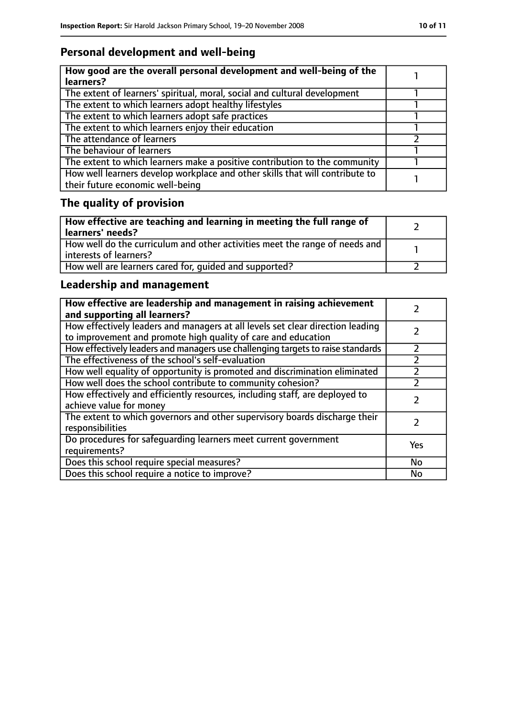# **Personal development and well-being**

| How good are the overall personal development and well-being of the<br>learners?                                 |  |
|------------------------------------------------------------------------------------------------------------------|--|
| The extent of learners' spiritual, moral, social and cultural development                                        |  |
| The extent to which learners adopt healthy lifestyles                                                            |  |
| The extent to which learners adopt safe practices                                                                |  |
| The extent to which learners enjoy their education                                                               |  |
| The attendance of learners                                                                                       |  |
| The behaviour of learners                                                                                        |  |
| The extent to which learners make a positive contribution to the community                                       |  |
| How well learners develop workplace and other skills that will contribute to<br>their future economic well-being |  |

# **The quality of provision**

| How effective are teaching and learning in meeting the full range of<br>learners' needs?              |  |
|-------------------------------------------------------------------------------------------------------|--|
| How well do the curriculum and other activities meet the range of needs and<br>interests of learners? |  |
| How well are learners cared for, quided and supported?                                                |  |

# **Leadership and management**

| How effective are leadership and management in raising achievement<br>and supporting all learners?                                              |           |
|-------------------------------------------------------------------------------------------------------------------------------------------------|-----------|
| How effectively leaders and managers at all levels set clear direction leading<br>to improvement and promote high quality of care and education |           |
| How effectively leaders and managers use challenging targets to raise standards                                                                 | フ         |
| The effectiveness of the school's self-evaluation                                                                                               |           |
| How well equality of opportunity is promoted and discrimination eliminated                                                                      |           |
| How well does the school contribute to community cohesion?                                                                                      |           |
| How effectively and efficiently resources, including staff, are deployed to<br>achieve value for money                                          |           |
| The extent to which governors and other supervisory boards discharge their<br>responsibilities                                                  |           |
| Do procedures for safequarding learners meet current government<br>requirements?                                                                | Yes       |
| Does this school require special measures?                                                                                                      | <b>No</b> |
| Does this school require a notice to improve?                                                                                                   | No        |